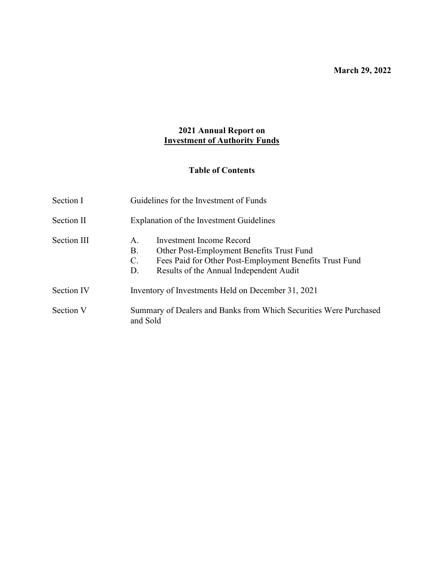March 29, 2022

# 2021 Annual Report on Investment of Authority Funds

# Table of Contents

| Section I   | Guidelines for the Investment of Funds                                                                                                                                                                          |  |  |
|-------------|-----------------------------------------------------------------------------------------------------------------------------------------------------------------------------------------------------------------|--|--|
| Section II  | Explanation of the Investment Guidelines                                                                                                                                                                        |  |  |
| Section III | Investment Income Record<br>A <sub>1</sub><br>Other Post-Employment Benefits Trust Fund<br>В.<br>C.<br>Fees Paid for Other Post-Employment Benefits Trust Fund<br>Results of the Annual Independent Audit<br>D. |  |  |
| Section IV  | Inventory of Investments Held on December 31, 2021                                                                                                                                                              |  |  |
| Section V   | Summary of Dealers and Banks from Which Securities Were Purchased<br>and Sold                                                                                                                                   |  |  |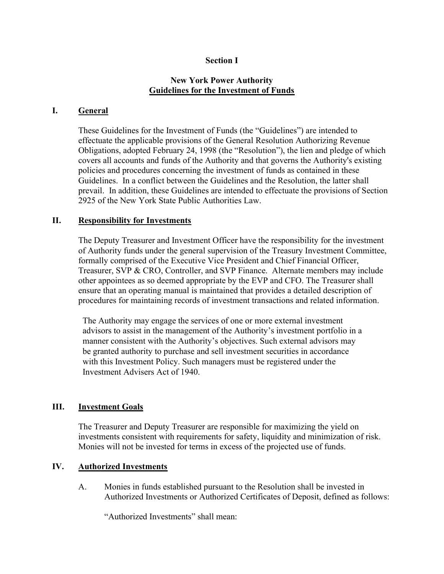### Section I

### New York Power Authority Guidelines for the Investment of Funds

### I. General

 These Guidelines for the Investment of Funds (the "Guidelines") are intended to effectuate the applicable provisions of the General Resolution Authorizing Revenue Obligations, adopted February 24, 1998 (the "Resolution"), the lien and pledge of which covers all accounts and funds of the Authority and that governs the Authority's existing policies and procedures concerning the investment of funds as contained in these Guidelines. In a conflict between the Guidelines and the Resolution, the latter shall prevail. In addition, these Guidelines are intended to effectuate the provisions of Section 2925 of the New York State Public Authorities Law.

### II. Responsibility for Investments

 The Deputy Treasurer and Investment Officer have the responsibility for the investment of Authority funds under the general supervision of the Treasury Investment Committee, formally comprised of the Executive Vice President and Chief Financial Officer, Treasurer, SVP & CRO, Controller, and SVP Finance. Alternate members may include other appointees as so deemed appropriate by the EVP and CFO. The Treasurer shall ensure that an operating manual is maintained that provides a detailed description of procedures for maintaining records of investment transactions and related information.

The Authority may engage the services of one or more external investment advisors to assist in the management of the Authority's investment portfolio in a manner consistent with the Authority's objectives. Such external advisors may be granted authority to purchase and sell investment securities in accordance with this Investment Policy. Such managers must be registered under the Investment Advisers Act of 1940.

## III. Investment Goals

 The Treasurer and Deputy Treasurer are responsible for maximizing the yield on investments consistent with requirements for safety, liquidity and minimization of risk. Monies will not be invested for terms in excess of the projected use of funds.

### IV. Authorized Investments

 A. Monies in funds established pursuant to the Resolution shall be invested in Authorized Investments or Authorized Certificates of Deposit, defined as follows:

"Authorized Investments" shall mean: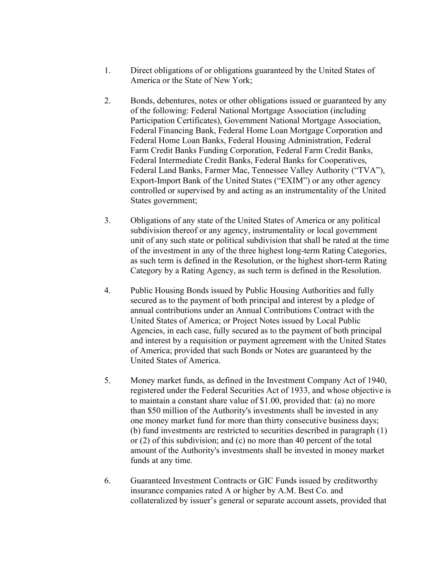- 1. Direct obligations of or obligations guaranteed by the United States of America or the State of New York;
- 2. Bonds, debentures, notes or other obligations issued or guaranteed by any of the following: Federal National Mortgage Association (including Participation Certificates), Government National Mortgage Association, Federal Financing Bank, Federal Home Loan Mortgage Corporation and Federal Home Loan Banks, Federal Housing Administration, Federal Farm Credit Banks Funding Corporation, Federal Farm Credit Banks, Federal Intermediate Credit Banks, Federal Banks for Cooperatives, Federal Land Banks, Farmer Mac, Tennessee Valley Authority ("TVA"), Export-Import Bank of the United States ("EXIM") or any other agency controlled or supervised by and acting as an instrumentality of the United States government;
- 3. Obligations of any state of the United States of America or any political subdivision thereof or any agency, instrumentality or local government unit of any such state or political subdivision that shall be rated at the time of the investment in any of the three highest long-term Rating Categories, as such term is defined in the Resolution, or the highest short-term Rating Category by a Rating Agency, as such term is defined in the Resolution.
- 4. Public Housing Bonds issued by Public Housing Authorities and fully secured as to the payment of both principal and interest by a pledge of annual contributions under an Annual Contributions Contract with the United States of America; or Project Notes issued by Local Public Agencies, in each case, fully secured as to the payment of both principal and interest by a requisition or payment agreement with the United States of America; provided that such Bonds or Notes are guaranteed by the United States of America.
- 5. Money market funds, as defined in the Investment Company Act of 1940, registered under the Federal Securities Act of 1933, and whose objective is to maintain a constant share value of \$1.00, provided that: (a) no more than \$50 million of the Authority's investments shall be invested in any one money market fund for more than thirty consecutive business days; (b) fund investments are restricted to securities described in paragraph (1) or (2) of this subdivision; and (c) no more than 40 percent of the total amount of the Authority's investments shall be invested in money market funds at any time.
- 6. Guaranteed Investment Contracts or GIC Funds issued by creditworthy insurance companies rated A or higher by A.M. Best Co. and collateralized by issuer's general or separate account assets, provided that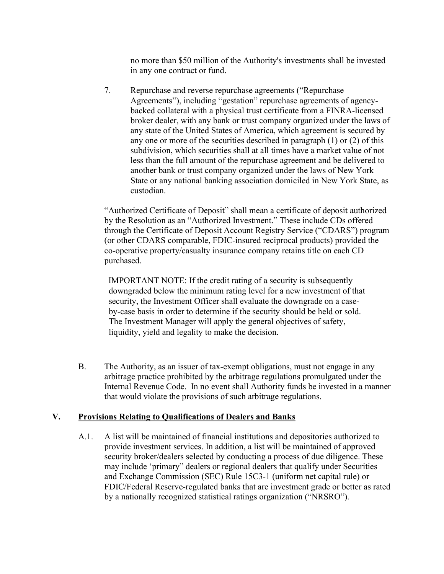no more than \$50 million of the Authority's investments shall be invested in any one contract or fund.

7. Repurchase and reverse repurchase agreements ("Repurchase Agreements"), including "gestation" repurchase agreements of agencybacked collateral with a physical trust certificate from a FINRA-licensed broker dealer, with any bank or trust company organized under the laws of any state of the United States of America, which agreement is secured by any one or more of the securities described in paragraph (1) or (2) of this subdivision, which securities shall at all times have a market value of not less than the full amount of the repurchase agreement and be delivered to another bank or trust company organized under the laws of New York State or any national banking association domiciled in New York State, as custodian.

"Authorized Certificate of Deposit" shall mean a certificate of deposit authorized by the Resolution as an "Authorized Investment." These include CDs offered through the Certificate of Deposit Account Registry Service ("CDARS") program (or other CDARS comparable, FDIC-insured reciprocal products) provided the co-operative property/casualty insurance company retains title on each CD purchased.

IMPORTANT NOTE: If the credit rating of a security is subsequently downgraded below the minimum rating level for a new investment of that security, the Investment Officer shall evaluate the downgrade on a caseby-case basis in order to determine if the security should be held or sold. The Investment Manager will apply the general objectives of safety, liquidity, yield and legality to make the decision.

 B. The Authority, as an issuer of tax-exempt obligations, must not engage in any arbitrage practice prohibited by the arbitrage regulations promulgated under the Internal Revenue Code. In no event shall Authority funds be invested in a manner that would violate the provisions of such arbitrage regulations.

## V. Provisions Relating to Qualifications of Dealers and Banks

 A.1. A list will be maintained of financial institutions and depositories authorized to provide investment services. In addition, a list will be maintained of approved security broker/dealers selected by conducting a process of due diligence. These may include 'primary" dealers or regional dealers that qualify under Securities and Exchange Commission (SEC) Rule 15C3-1 (uniform net capital rule) or FDIC/Federal Reserve-regulated banks that are investment grade or better as rated by a nationally recognized statistical ratings organization ("NRSRO").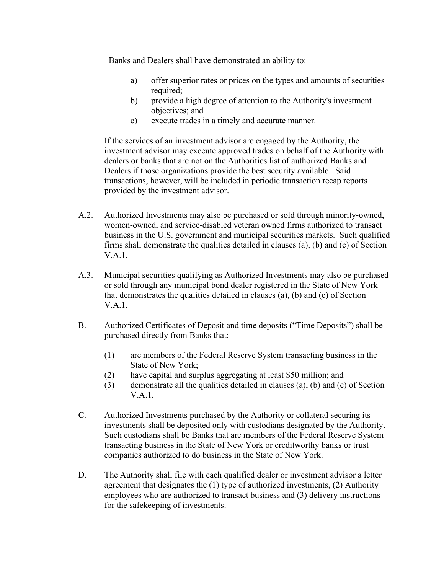Banks and Dealers shall have demonstrated an ability to:

- a) offer superior rates or prices on the types and amounts of securities required;
- b) provide a high degree of attention to the Authority's investment objectives; and
- c) execute trades in a timely and accurate manner.

If the services of an investment advisor are engaged by the Authority, the investment advisor may execute approved trades on behalf of the Authority with dealers or banks that are not on the Authorities list of authorized Banks and Dealers if those organizations provide the best security available. Said transactions, however, will be included in periodic transaction recap reports provided by the investment advisor.

- A.2. Authorized Investments may also be purchased or sold through minority-owned, women-owned, and service-disabled veteran owned firms authorized to transact business in the U.S. government and municipal securities markets. Such qualified firms shall demonstrate the qualities detailed in clauses (a), (b) and (c) of Section V.A.1.
- A.3. Municipal securities qualifying as Authorized Investments may also be purchased or sold through any municipal bond dealer registered in the State of New York that demonstrates the qualities detailed in clauses (a), (b) and (c) of Section V.A.1.
- B. Authorized Certificates of Deposit and time deposits ("Time Deposits") shall be purchased directly from Banks that:
	- (1) are members of the Federal Reserve System transacting business in the State of New York;
	- (2) have capital and surplus aggregating at least \$50 million; and
	- (3) demonstrate all the qualities detailed in clauses (a), (b) and (c) of Section V.A.1.
- C. Authorized Investments purchased by the Authority or collateral securing its investments shall be deposited only with custodians designated by the Authority. Such custodians shall be Banks that are members of the Federal Reserve System transacting business in the State of New York or creditworthy banks or trust companies authorized to do business in the State of New York.
- D. The Authority shall file with each qualified dealer or investment advisor a letter agreement that designates the (1) type of authorized investments, (2) Authority employees who are authorized to transact business and (3) delivery instructions for the safekeeping of investments.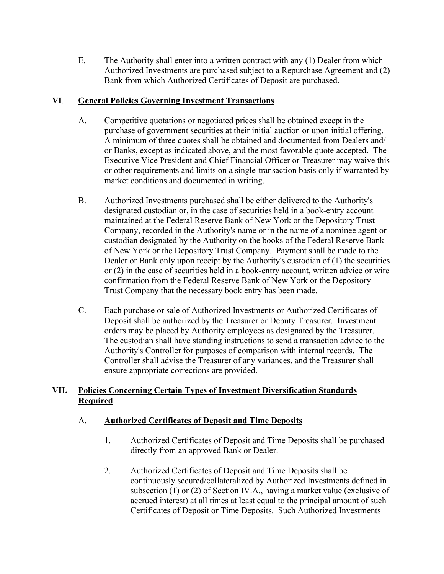E. The Authority shall enter into a written contract with any (1) Dealer from which Authorized Investments are purchased subject to a Repurchase Agreement and (2) Bank from which Authorized Certificates of Deposit are purchased.

## VI. General Policies Governing Investment Transactions

- A. Competitive quotations or negotiated prices shall be obtained except in the purchase of government securities at their initial auction or upon initial offering. A minimum of three quotes shall be obtained and documented from Dealers and/ or Banks, except as indicated above, and the most favorable quote accepted. The Executive Vice President and Chief Financial Officer or Treasurer may waive this or other requirements and limits on a single-transaction basis only if warranted by market conditions and documented in writing.
- B. Authorized Investments purchased shall be either delivered to the Authority's designated custodian or, in the case of securities held in a book-entry account maintained at the Federal Reserve Bank of New York or the Depository Trust Company, recorded in the Authority's name or in the name of a nominee agent or custodian designated by the Authority on the books of the Federal Reserve Bank of New York or the Depository Trust Company. Payment shall be made to the Dealer or Bank only upon receipt by the Authority's custodian of (1) the securities or (2) in the case of securities held in a book-entry account, written advice or wire confirmation from the Federal Reserve Bank of New York or the Depository Trust Company that the necessary book entry has been made.
- C. Each purchase or sale of Authorized Investments or Authorized Certificates of Deposit shall be authorized by the Treasurer or Deputy Treasurer. Investment orders may be placed by Authority employees as designated by the Treasurer. The custodian shall have standing instructions to send a transaction advice to the Authority's Controller for purposes of comparison with internal records. The Controller shall advise the Treasurer of any variances, and the Treasurer shall ensure appropriate corrections are provided.

# VII. Policies Concerning Certain Types of Investment Diversification Standards **Required**

# A. Authorized Certificates of Deposit and Time Deposits

- 1. Authorized Certificates of Deposit and Time Deposits shall be purchased directly from an approved Bank or Dealer.
- 2. Authorized Certificates of Deposit and Time Deposits shall be continuously secured/collateralized by Authorized Investments defined in subsection (1) or (2) of Section IV.A., having a market value (exclusive of accrued interest) at all times at least equal to the principal amount of such Certificates of Deposit or Time Deposits. Such Authorized Investments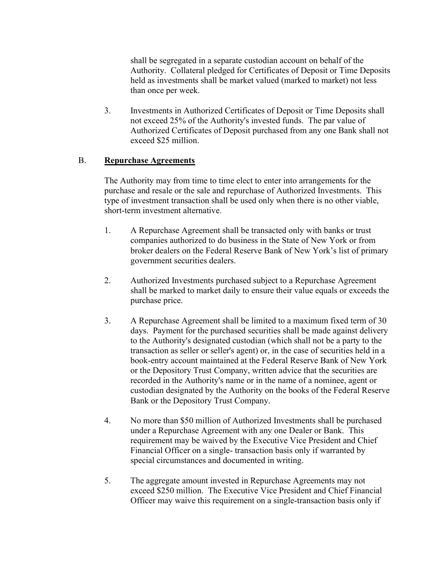shall be segregated in a separate custodian account on behalf of the Authority. Collateral pledged for Certificates of Deposit or Time Deposits held as investments shall be market valued (marked to market) not less than once per week.

 3. Investments in Authorized Certificates of Deposit or Time Deposits shall not exceed 25% of the Authority's invested funds. The par value of Authorized Certificates of Deposit purchased from any one Bank shall not exceed \$25 million.

### B. Repurchase Agreements

 The Authority may from time to time elect to enter into arrangements for the purchase and resale or the sale and repurchase of Authorized Investments. This type of investment transaction shall be used only when there is no other viable, short-term investment alternative.

- 1. A Repurchase Agreement shall be transacted only with banks or trust companies authorized to do business in the State of New York or from broker dealers on the Federal Reserve Bank of New York's list of primary government securities dealers.
- 2. Authorized Investments purchased subject to a Repurchase Agreement shall be marked to market daily to ensure their value equals or exceeds the purchase price.
- 3. A Repurchase Agreement shall be limited to a maximum fixed term of 30 days. Payment for the purchased securities shall be made against delivery to the Authority's designated custodian (which shall not be a party to the transaction as seller or seller's agent) or, in the case of securities held in a book-entry account maintained at the Federal Reserve Bank of New York or the Depository Trust Company, written advice that the securities are recorded in the Authority's name or in the name of a nominee, agent or custodian designated by the Authority on the books of the Federal Reserve Bank or the Depository Trust Company.
- 4. No more than \$50 million of Authorized Investments shall be purchased under a Repurchase Agreement with any one Dealer or Bank. This requirement may be waived by the Executive Vice President and Chief Financial Officer on a single- transaction basis only if warranted by special circumstances and documented in writing.
- 5. The aggregate amount invested in Repurchase Agreements may not exceed \$250 million. The Executive Vice President and Chief Financial Officer may waive this requirement on a single-transaction basis only if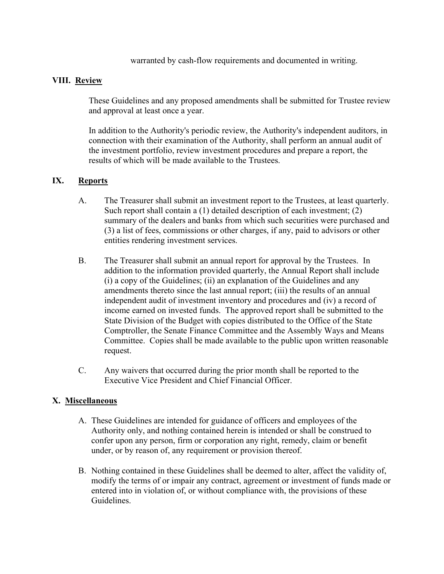warranted by cash-flow requirements and documented in writing.

### VIII. Review

 These Guidelines and any proposed amendments shall be submitted for Trustee review and approval at least once a year.

 In addition to the Authority's periodic review, the Authority's independent auditors, in connection with their examination of the Authority, shall perform an annual audit of the investment portfolio, review investment procedures and prepare a report, the results of which will be made available to the Trustees.

### IX. Reports

- A. The Treasurer shall submit an investment report to the Trustees, at least quarterly. Such report shall contain a (1) detailed description of each investment; (2) summary of the dealers and banks from which such securities were purchased and (3) a list of fees, commissions or other charges, if any, paid to advisors or other entities rendering investment services.
- B. The Treasurer shall submit an annual report for approval by the Trustees. In addition to the information provided quarterly, the Annual Report shall include (i) a copy of the Guidelines; (ii) an explanation of the Guidelines and any amendments thereto since the last annual report; (iii) the results of an annual independent audit of investment inventory and procedures and (iv) a record of income earned on invested funds. The approved report shall be submitted to the State Division of the Budget with copies distributed to the Office of the State Comptroller, the Senate Finance Committee and the Assembly Ways and Means Committee. Copies shall be made available to the public upon written reasonable request.
- C. Any waivers that occurred during the prior month shall be reported to the Executive Vice President and Chief Financial Officer.

## X. Miscellaneous

- A. These Guidelines are intended for guidance of officers and employees of the Authority only, and nothing contained herein is intended or shall be construed to confer upon any person, firm or corporation any right, remedy, claim or benefit under, or by reason of, any requirement or provision thereof.
- B. Nothing contained in these Guidelines shall be deemed to alter, affect the validity of, modify the terms of or impair any contract, agreement or investment of funds made or entered into in violation of, or without compliance with, the provisions of these Guidelines.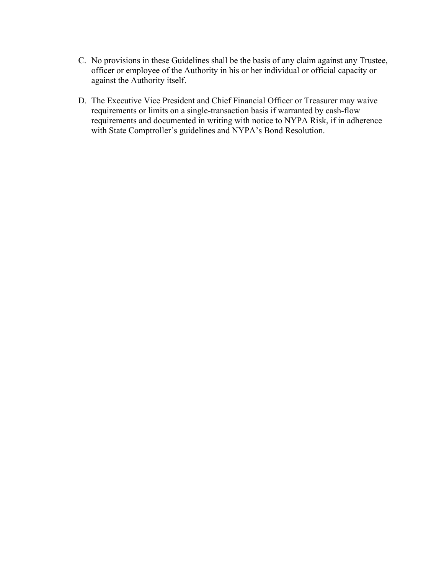- C. No provisions in these Guidelines shall be the basis of any claim against any Trustee, officer or employee of the Authority in his or her individual or official capacity or against the Authority itself.
- D. The Executive Vice President and Chief Financial Officer or Treasurer may waive requirements or limits on a single-transaction basis if warranted by cash-flow requirements and documented in writing with notice to NYPA Risk, if in adherence with State Comptroller's guidelines and NYPA's Bond Resolution.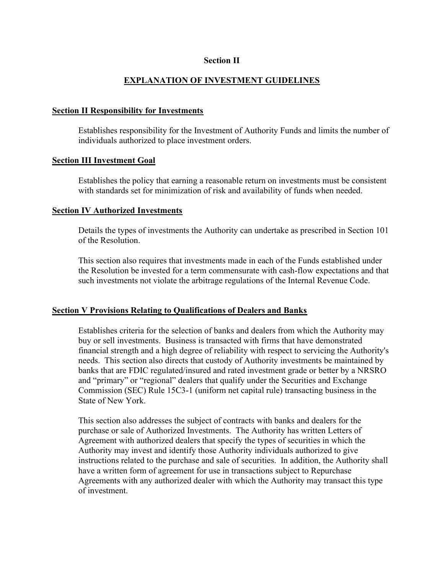### Section II

### EXPLANATION OF INVESTMENT GUIDELINES

### Section II Responsibility for Investments

 Establishes responsibility for the Investment of Authority Funds and limits the number of individuals authorized to place investment orders.

### Section III Investment Goal

 Establishes the policy that earning a reasonable return on investments must be consistent with standards set for minimization of risk and availability of funds when needed.

#### Section IV Authorized Investments

 Details the types of investments the Authority can undertake as prescribed in Section 101 of the Resolution.

 This section also requires that investments made in each of the Funds established under the Resolution be invested for a term commensurate with cash-flow expectations and that such investments not violate the arbitrage regulations of the Internal Revenue Code.

### Section V Provisions Relating to Qualifications of Dealers and Banks

 Establishes criteria for the selection of banks and dealers from which the Authority may buy or sell investments. Business is transacted with firms that have demonstrated financial strength and a high degree of reliability with respect to servicing the Authority's needs. This section also directs that custody of Authority investments be maintained by banks that are FDIC regulated/insured and rated investment grade or better by a NRSRO and "primary" or "regional" dealers that qualify under the Securities and Exchange Commission (SEC) Rule 15C3-1 (uniform net capital rule) transacting business in the State of New York.

 This section also addresses the subject of contracts with banks and dealers for the purchase or sale of Authorized Investments. The Authority has written Letters of Agreement with authorized dealers that specify the types of securities in which the Authority may invest and identify those Authority individuals authorized to give instructions related to the purchase and sale of securities. In addition, the Authority shall have a written form of agreement for use in transactions subject to Repurchase Agreements with any authorized dealer with which the Authority may transact this type of investment.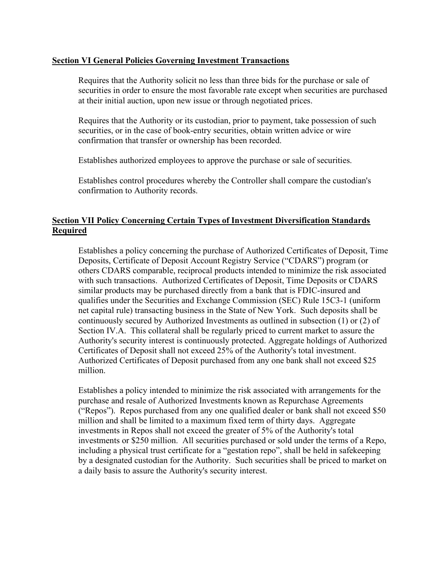### Section VI General Policies Governing Investment Transactions

 Requires that the Authority solicit no less than three bids for the purchase or sale of securities in order to ensure the most favorable rate except when securities are purchased at their initial auction, upon new issue or through negotiated prices.

 Requires that the Authority or its custodian, prior to payment, take possession of such securities, or in the case of book-entry securities, obtain written advice or wire confirmation that transfer or ownership has been recorded.

Establishes authorized employees to approve the purchase or sale of securities.

 Establishes control procedures whereby the Controller shall compare the custodian's confirmation to Authority records.

### Section VII Policy Concerning Certain Types of Investment Diversification Standards Required

 Establishes a policy concerning the purchase of Authorized Certificates of Deposit, Time Deposits, Certificate of Deposit Account Registry Service ("CDARS") program (or others CDARS comparable, reciprocal products intended to minimize the risk associated with such transactions. Authorized Certificates of Deposit, Time Deposits or CDARS similar products may be purchased directly from a bank that is FDIC-insured and qualifies under the Securities and Exchange Commission (SEC) Rule 15C3-1 (uniform net capital rule) transacting business in the State of New York. Such deposits shall be continuously secured by Authorized Investments as outlined in subsection (1) or (2) of Section IV.A. This collateral shall be regularly priced to current market to assure the Authority's security interest is continuously protected. Aggregate holdings of Authorized Certificates of Deposit shall not exceed 25% of the Authority's total investment. Authorized Certificates of Deposit purchased from any one bank shall not exceed \$25 million.

 Establishes a policy intended to minimize the risk associated with arrangements for the purchase and resale of Authorized Investments known as Repurchase Agreements ("Repos"). Repos purchased from any one qualified dealer or bank shall not exceed \$50 million and shall be limited to a maximum fixed term of thirty days. Aggregate investments in Repos shall not exceed the greater of 5% of the Authority's total investments or \$250 million. All securities purchased or sold under the terms of a Repo, including a physical trust certificate for a "gestation repo", shall be held in safekeeping by a designated custodian for the Authority. Such securities shall be priced to market on a daily basis to assure the Authority's security interest.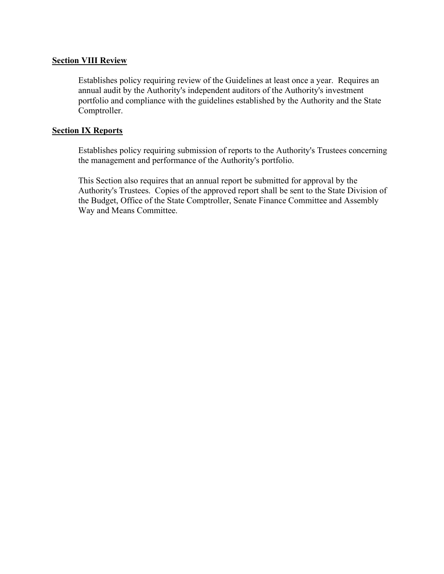### Section VIII Review

 Establishes policy requiring review of the Guidelines at least once a year. Requires an annual audit by the Authority's independent auditors of the Authority's investment portfolio and compliance with the guidelines established by the Authority and the State Comptroller.

### **Section IX Reports**

 Establishes policy requiring submission of reports to the Authority's Trustees concerning the management and performance of the Authority's portfolio.

 This Section also requires that an annual report be submitted for approval by the Authority's Trustees. Copies of the approved report shall be sent to the State Division of the Budget, Office of the State Comptroller, Senate Finance Committee and Assembly Way and Means Committee.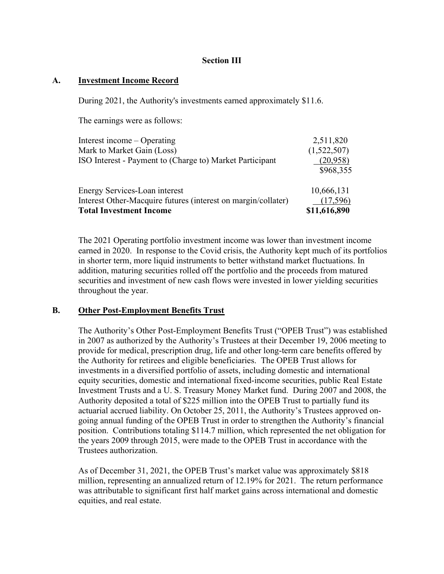### Section III

### A. Investment Income Record

During 2021, the Authority's investments earned approximately \$11.6.

The earnings were as follows:

| Interest income – Operating                                   | 2,511,820    |
|---------------------------------------------------------------|--------------|
| Mark to Market Gain (Loss)                                    | (1,522,507)  |
| ISO Interest - Payment to (Charge to) Market Participant      | (20, 958)    |
|                                                               | \$968,355    |
| Energy Services-Loan interest                                 | 10,666,131   |
| Interest Other-Macquire futures (interest on margin/collater) | (17,596)     |
| <b>Total Investment Income</b>                                | \$11,616,890 |

 The 2021 Operating portfolio investment income was lower than investment income earned in 2020. In response to the Covid crisis, the Authority kept much of its portfolios in shorter term, more liquid instruments to better withstand market fluctuations. In addition, maturing securities rolled off the portfolio and the proceeds from matured securities and investment of new cash flows were invested in lower yielding securities throughout the year.

### B. Other Post-Employment Benefits Trust

 The Authority's Other Post-Employment Benefits Trust ("OPEB Trust") was established in 2007 as authorized by the Authority's Trustees at their December 19, 2006 meeting to provide for medical, prescription drug, life and other long-term care benefits offered by the Authority for retirees and eligible beneficiaries. The OPEB Trust allows for investments in a diversified portfolio of assets, including domestic and international equity securities, domestic and international fixed-income securities, public Real Estate Investment Trusts and a U. S. Treasury Money Market fund. During 2007 and 2008, the Authority deposited a total of \$225 million into the OPEB Trust to partially fund its actuarial accrued liability. On October 25, 2011, the Authority's Trustees approved ongoing annual funding of the OPEB Trust in order to strengthen the Authority's financial position. Contributions totaling \$114.7 million, which represented the net obligation for the years 2009 through 2015, were made to the OPEB Trust in accordance with the Trustees authorization.

 As of December 31, 2021, the OPEB Trust's market value was approximately \$818 million, representing an annualized return of 12.19% for 2021. The return performance was attributable to significant first half market gains across international and domestic equities, and real estate.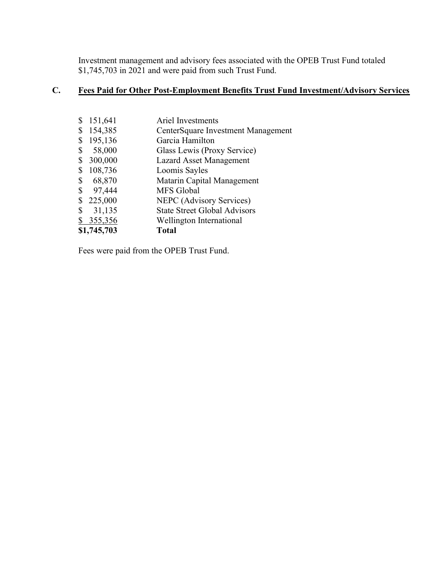Investment management and advisory fees associated with the OPEB Trust Fund totaled \$1,745,703 in 2021 and were paid from such Trust Fund.

# C. Fees Paid for Other Post-Employment Benefits Trust Fund Investment/Advisory Services

|    | 151,641     | <b>Ariel Investments</b>            |
|----|-------------|-------------------------------------|
|    | 154,385     | CenterSquare Investment Management  |
|    | 195,136     | Garcia Hamilton                     |
| \$ | 58,000      | Glass Lewis (Proxy Service)         |
|    | 300,000     | <b>Lazard Asset Management</b>      |
| S  | 108,736     | Loomis Sayles                       |
| \$ | 68,870      | Matarin Capital Management          |
| \$ | 97,444      | MFS Global                          |
|    | 225,000     | NEPC (Advisory Services)            |
| \$ | 31,135      | <b>State Street Global Advisors</b> |
|    | 355,356     | Wellington International            |
|    | \$1,745,703 | <b>Total</b>                        |

Fees were paid from the OPEB Trust Fund.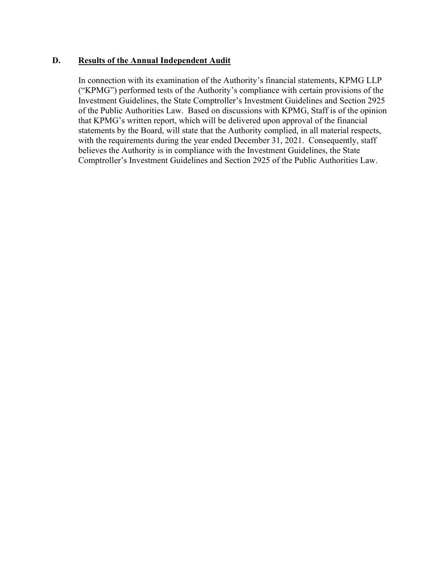### D. Results of the Annual Independent Audit

In connection with its examination of the Authority's financial statements, KPMG LLP ("KPMG") performed tests of the Authority's compliance with certain provisions of the Investment Guidelines, the State Comptroller's Investment Guidelines and Section 2925 of the Public Authorities Law. Based on discussions with KPMG, Staff is of the opinion that KPMG's written report, which will be delivered upon approval of the financial statements by the Board, will state that the Authority complied, in all material respects, with the requirements during the year ended December 31, 2021. Consequently, staff believes the Authority is in compliance with the Investment Guidelines, the State Comptroller's Investment Guidelines and Section 2925 of the Public Authorities Law.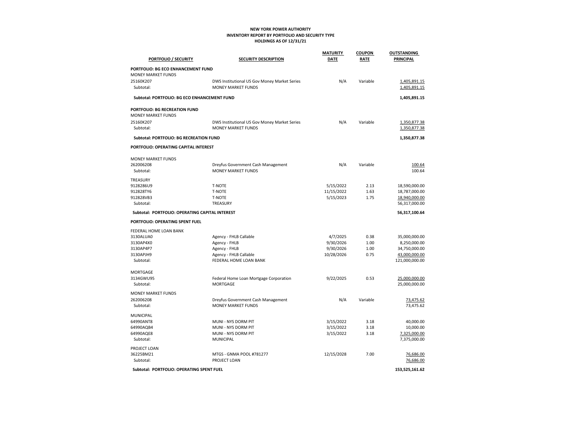#### NEW YORK POWER AUTHORITY INVENTORY REPORT BY PORTFOLIO AND SECURITY TYPE HOLDINGS AS OF 12/31/21

|                                                                 |                                                                           | <b>MATURITY</b> | <b>COUPON</b> | <b>OUTSTANDING</b>           |
|-----------------------------------------------------------------|---------------------------------------------------------------------------|-----------------|---------------|------------------------------|
| PORTFOLIO / SECURITY                                            | <b>SECURITY DESCRIPTION</b>                                               | <b>DATE</b>     | RATE          | PRINCIPAL                    |
| PORTFOLIO: BG ECO ENHANCEMENT FUND<br><b>MONEY MARKET FUNDS</b> |                                                                           |                 |               |                              |
| 25160K207<br>Subtotal:                                          | DWS Institutional US Gov Money Market Series<br><b>MONEY MARKET FUNDS</b> | N/A             | Variable      | 1,405,891.15<br>1,405,891.15 |
| Subtotal: PORTFOLIO: BG ECO ENHANCEMENT FUND                    |                                                                           |                 |               | 1,405,891.15                 |
| <b>PORTFOLIO: BG RECREATION FUND</b>                            |                                                                           |                 |               |                              |
| <b>MONEY MARKET FUNDS</b>                                       |                                                                           |                 |               |                              |
| 25160K207                                                       | DWS Institutional US Gov Money Market Series                              | N/A             | Variable      | 1,350,877.38                 |
| Subtotal:                                                       | <b>MONEY MARKET FUNDS</b>                                                 |                 |               | 1,350,877.38                 |
| Subtotal: PORTFOLIO: BG RECREATION FUND                         |                                                                           |                 |               | 1,350,877.38                 |
| PORTFOLIO: OPERATING CAPITAL INTEREST                           |                                                                           |                 |               |                              |
| <b>MONEY MARKET FUNDS</b>                                       |                                                                           |                 |               |                              |
| 262006208                                                       | Dreyfus Government Cash Management                                        | N/A             | Variable      | 100.64                       |
| Subtotal:                                                       | <b>MONEY MARKET FUNDS</b>                                                 |                 |               | 100.64                       |
| TREASURY                                                        |                                                                           |                 |               |                              |
| 9128286U9                                                       | <b>T-NOTE</b>                                                             | 5/15/2022       | 2.13          | 18,590,000.00                |
| 912828TY6                                                       | <b>T-NOTE</b>                                                             | 11/15/2022      | 1.63          | 18,787,000.00                |
| 912828VB3                                                       | <b>T-NOTE</b>                                                             | 5/15/2023       | 1.75          | 18,940,000.00                |
| Subtotal:                                                       | TREASURY                                                                  |                 |               | 56,317,000.00                |
| Subtotal: PORTFOLIO: OPERATING CAPITAL INTEREST                 |                                                                           |                 |               | 56,317,100.64                |
| PORTFOLIO: OPERATING SPENT FUEL                                 |                                                                           |                 |               |                              |
| FEDERAL HOME LOAN BANK                                          |                                                                           |                 |               |                              |
| 3130ALUA0                                                       | Agency - FHLB Callable                                                    | 4/7/2025        | 0.38          | 35,000,000.00                |
| 3130AP4X0                                                       | Agency - FHLB                                                             | 9/30/2026       | 1.00          | 8,250,000.00                 |
| 3130AP4P7                                                       | Agency - FHLB                                                             | 9/30/2026       | 1.00          | 34,750,000.00                |
| 3130APJH9                                                       | Agency - FHLB Callable                                                    | 10/28/2026      | 0.75          | 43,000,000.00                |
| Subtotal:                                                       | FEDERAL HOME LOAN BANK                                                    |                 |               | 121,000,000.00               |
| <b>MORTGAGE</b>                                                 |                                                                           |                 |               |                              |
| 3134GWU95                                                       | Federal Home Loan Mortgage Corporation                                    | 9/22/2025       | 0.53          | 25,000,000.00                |
| Subtotal:                                                       | <b>MORTGAGE</b>                                                           |                 |               | 25,000,000.00                |
| <b>MONEY MARKET FUNDS</b>                                       |                                                                           |                 |               |                              |
| 262006208                                                       | Dreyfus Government Cash Management                                        | N/A             | Variable      | 73,475.62                    |
| Subtotal:                                                       | <b>MONEY MARKET FUNDS</b>                                                 |                 |               | 73,475.62                    |
| MUNICIPAL                                                       |                                                                           |                 |               |                              |
| 64990ANT8                                                       | MUNI - NYS DORM PIT                                                       | 3/15/2022       | 3.18          | 40,000.00                    |
| 64990AQB4                                                       | MUNI - NYS DORM PIT                                                       | 3/15/2022       | 3.18          | 10,000.00                    |
| 64990AQE8                                                       | MUNI - NYS DORM PIT                                                       | 3/15/2022       | 3.18          | 7,325,000.00                 |
| Subtotal:                                                       | <b>MUNICIPAL</b>                                                          |                 |               | 7,375,000.00                 |
| PROJECT LOAN                                                    |                                                                           |                 |               |                              |
| 36225BM21                                                       | MTGS - GNMA POOL #781277                                                  | 12/15/2028      | 7.00          | 76,686.00                    |
| Subtotal:                                                       | PROJECT LOAN                                                              |                 |               | 76,686.00                    |
| Subtotal: PORTFOLIO: OPERATING SPENT FUEL                       |                                                                           |                 |               | 153,525,161.62               |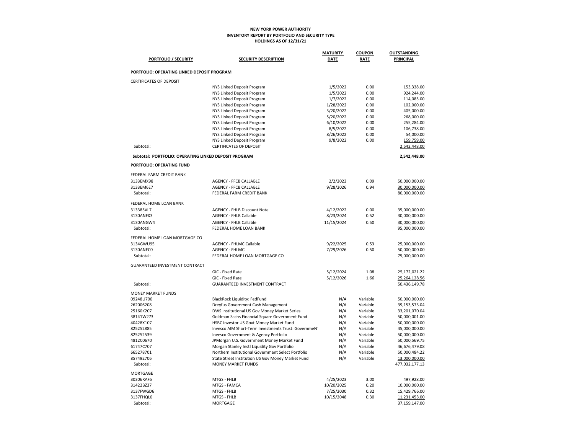#### NEW YORK POWER AUTHORITY INVENTORY REPORT BY PORTFOLIO AND SECURITY TYPE HOLDINGS AS OF 12/31/21

| <b>PORTFOLIO / SECURITY</b>                           | <b>SECURITY DESCRIPTION</b>                                                         | <b>MATURITY</b><br><b>DATE</b> | <b>COUPON</b><br><b>RATE</b> | <b>OUTSTANDING</b><br><b>PRINCIPAL</b> |
|-------------------------------------------------------|-------------------------------------------------------------------------------------|--------------------------------|------------------------------|----------------------------------------|
|                                                       |                                                                                     |                                |                              |                                        |
| PORTFOLIO: OPERATING LINKED DEPOSIT PROGRAM           |                                                                                     |                                |                              |                                        |
| <b>CERTIFICATES OF DEPOSIT</b>                        |                                                                                     |                                |                              |                                        |
|                                                       | NYS Linked Deposit Program                                                          | 1/5/2022                       | 0.00                         | 153,338.00                             |
|                                                       | NYS Linked Deposit Program                                                          | 1/5/2022                       | 0.00                         | 924,244.00                             |
|                                                       | NYS Linked Deposit Program                                                          | 1/7/2022                       | 0.00                         | 114,085.00                             |
|                                                       | NYS Linked Deposit Program                                                          | 1/28/2022                      | 0.00                         | 102,000.00                             |
|                                                       | NYS Linked Deposit Program<br>NYS Linked Deposit Program                            | 3/20/2022<br>5/20/2022         | 0.00<br>0.00                 | 405,000.00<br>268,000.00               |
|                                                       | NYS Linked Deposit Program                                                          | 6/10/2022                      | 0.00                         | 255,284.00                             |
|                                                       | NYS Linked Deposit Program                                                          | 8/5/2022                       | 0.00                         | 106,738.00                             |
|                                                       | NYS Linked Deposit Program                                                          | 8/26/2022                      | 0.00                         | 54,000.00                              |
|                                                       | NYS Linked Deposit Program                                                          | 9/8/2022                       | 0.00                         | 159,759.00                             |
| Subtotal:                                             | <b>CERTIFICATES OF DEPOSIT</b>                                                      |                                |                              | 2,542,448.00                           |
| Subtotal: PORTFOLIO: OPERATING LINKED DEPOSIT PROGRAM |                                                                                     |                                |                              | 2,542,448.00                           |
| PORTFOLIO: OPERATING FUND                             |                                                                                     |                                |                              |                                        |
| FEDERAL FARM CREDIT BANK                              |                                                                                     |                                |                              |                                        |
| 3133EMX98                                             | <b>AGENCY - FFCB CALLABLE</b>                                                       | 2/2/2023                       | 0.09                         | 50,000,000.00                          |
| 3133EM6E7                                             | <b>AGENCY - FFCB CALLABLE</b>                                                       | 9/28/2026                      | 0.94                         | 30,000,000.00                          |
| Subtotal:                                             | FEDERAL FARM CREDIT BANK                                                            |                                |                              | 80,000,000.00                          |
| FEDERAL HOME LOAN BANK                                |                                                                                     |                                |                              |                                        |
| 313385VL7                                             | <b>AGENCY - FHLB Discount Note</b>                                                  | 4/12/2022                      | 0.00                         | 35,000,000.00                          |
| 3130ANFX3                                             | <b>AGENCY - FHLB Callable</b>                                                       | 8/23/2024                      | 0.52                         | 30,000,000.00                          |
| 3130ANGW4                                             | <b>AGENCY - FHLB Callable</b>                                                       | 11/15/2024                     | 0.50                         | 30,000,000.00                          |
| Subtotal:                                             | FEDERAL HOME LOAN BANK                                                              |                                |                              | 95,000,000.00                          |
| FEDERAL HOME LOAN MORTGAGE CO                         |                                                                                     |                                |                              |                                        |
| 3134GWU95                                             | <b>AGENCY - FHLMC Callable</b>                                                      | 9/22/2025                      | 0.53                         | 25,000,000.00                          |
| 3130ANEC0                                             | <b>AGENCY - FHLMC</b>                                                               | 7/29/2026                      | 0.50                         | 50,000,000.00                          |
| Subtotal:                                             | FEDERAL HOME LOAN MORTGAGE CO                                                       |                                |                              | 75,000,000.00                          |
| GUARANTEED INVESTMENT CONTRACT                        |                                                                                     |                                |                              |                                        |
|                                                       | GIC - Fixed Rate                                                                    | 5/12/2024                      | 1.08                         | 25,172,021.22                          |
|                                                       | GIC - Fixed Rate                                                                    | 5/12/2026                      | 1.66                         | 25,264,128.56                          |
| Subtotal:                                             | <b>GUARANTEED INVESTMENT CONTRACT</b>                                               |                                |                              | 50,436,149.78                          |
| <b>MONEY MARKET FUNDS</b>                             |                                                                                     |                                |                              |                                        |
| 09248U700                                             | BlackRock Liquidity: FedFund                                                        | N/A                            | Variable                     | 50,000,000.00                          |
| 262006208                                             | Dreyfus Government Cash Management                                                  | N/A                            | Variable                     | 39,153,573.04                          |
| 25160K207                                             | DWS Institutional US Gov Money Market Series                                        | N/A                            | Variable                     | 33,201,070.04                          |
| 38141W273                                             | Goldman Sachs Financial Square Government Fund                                      | N/A                            | Variable                     | 50,000,001.00                          |
| 40428X107                                             | HSBC Investor US Govt Money Market Fund                                             | N/A                            | Variable                     | 50,000,000.00                          |
| 825252885                                             | Invesco AIM Short-Term Investments Trust: GovernmeN'                                | N/A                            | Variable                     | 45,000,000.00                          |
| 825252539<br>4812C0670                                | Invesco Government & Agency Portfolio<br>JPMorgan U.S. Government Money Market Fund | N/A<br>N/A                     | Variable<br>Variable         | 50,000,000.00<br>50,000,569.75         |
| 61747C707                                             | Morgan Stanley Instl Liquidity Gov Portfolio                                        | N/A                            | Variable                     | 46,676,479.08                          |
| 665278701                                             | Northern Institutional Government Select Portfolio                                  | N/A                            | Variable                     | 50,000,484.22                          |
| 857492706                                             | State Street Institution US Gov Money Market Fund                                   | N/A                            | Variable                     | 13,000,000.00                          |
| Subtotal:                                             | <b>MONEY MARKET FUNDS</b>                                                           |                                |                              | 477,032,177.13                         |
| <b>MORTGAGE</b>                                       |                                                                                     |                                |                              |                                        |
| 30306RAF5                                             | MTGS - FHLB                                                                         | 4/25/2023                      | 3.00                         | 497,928.00                             |
| 31422BZ37                                             | MTGS - FAMCA                                                                        | 10/20/2025                     | 0.20                         | 10,000,000.00                          |
| 3137FWGD6                                             | MTGS - FHLB                                                                         | 7/25/2030                      | 0.32                         | 15,429,766.00                          |
| 3137FHQL0                                             | MTGS - FHLB                                                                         | 10/15/2048                     | 0.30                         | 11,231,453.00                          |
| Subtotal:                                             | <b>MORTGAGE</b>                                                                     |                                |                              | 37,159,147.00                          |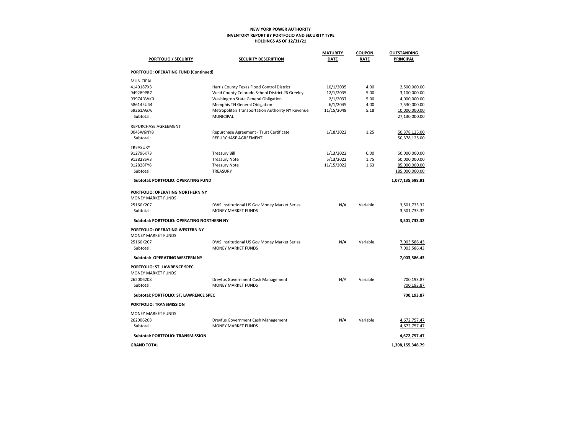#### NEW YORK POWER AUTHORITY INVENTORY REPORT BY PORTFOLIO AND SECURITY TYPE HOLDINGS AS OF 12/31/21

|                                                               |                                                  | <b>MATURITY</b> | <b>COUPON</b> | <b>OUTSTANDING</b> |
|---------------------------------------------------------------|--------------------------------------------------|-----------------|---------------|--------------------|
| <b>PORTFOLIO / SECURITY</b>                                   | <b>SECURITY DESCRIPTION</b>                      | <b>DATE</b>     | <b>RATE</b>   | PRINCIPAL          |
| PORTFOLIO: OPERATING FUND (Continued)                         |                                                  |                 |               |                    |
| <b>MUNICIPAL</b>                                              |                                                  |                 |               |                    |
| 4140187X3                                                     | Harris County Texas Flood Control District       | 10/1/2035       | 4.00          | 2,500,000.00       |
| 949289PR7                                                     | Weld County Colorado School District #6 Greeley  | 12/1/2035       | 5.00          | 3,100,000.00       |
| 93974DWK0                                                     | Washington State General Obligation              | 2/1/2037        | 5.00          | 4,000,000.00       |
| 586145U44                                                     | Memphis TN General Obligation                    | 6/1/2045        | 4.00          | 7,530,000.00       |
| 59261AG76                                                     | Metropolitan Transportation Authority NY Revenue | 11/15/2049      | 5.18          | 10,000,000.00      |
| Subtotal:                                                     | <b>MUNICIPAL</b>                                 |                 |               | 27,130,000.00      |
| REPURCHASE AGREEMENT                                          |                                                  |                 |               |                    |
| 004SW6NY8                                                     | Repurchase Agreement - Trust Certificate         | 1/18/2022       | 1.25          | 50,378,125.00      |
| Subtotal:                                                     | REPURCHASE AGREEMENT                             |                 |               | 50,378,125.00      |
| TREASURY                                                      |                                                  |                 |               |                    |
| 912796K73                                                     | <b>Treasury Bill</b>                             | 1/13/2022       | 0.00          | 50,000,000.00      |
| 912828SV3                                                     | <b>Treasury Note</b>                             | 5/13/2022       | 1.75          | 50,000,000.00      |
| 912828TY6                                                     | <b>Treasury Note</b>                             | 11/15/2022      | 1.63          | 85,000,000.00      |
| Subtotal:                                                     | TREASURY                                         |                 |               | 185,000,000.00     |
| Subtotal: PORTFOLIO: OPERATING FUND                           |                                                  |                 |               | 1,077,135,598.91   |
| PORTFOLIO: OPERATING NORTHERN NY<br><b>MONEY MARKET FUNDS</b> |                                                  |                 |               |                    |
| 25160K207                                                     | DWS Institutional US Gov Money Market Series     | N/A             | Variable      | 3,501,733.32       |
| Subtotal:                                                     | <b>MONEY MARKET FUNDS</b>                        |                 |               | 3,501,733.32       |
| Subtotal: PORTFOLIO: OPERATING NORTHERN NY                    |                                                  |                 |               | 3,501,733.32       |
| PORTFOLIO: OPERATING WESTERN NY                               |                                                  |                 |               |                    |
| <b>MONEY MARKET FUNDS</b>                                     |                                                  |                 |               |                    |
| 25160K207                                                     | DWS Institutional US Gov Money Market Series     | N/A             | Variable      | 7,003,586.43       |
| Subtotal:                                                     | <b>MONEY MARKET FUNDS</b>                        |                 |               | 7,003,586.43       |
|                                                               |                                                  |                 |               |                    |
| Subtotal: OPERATING WESTERN NY                                |                                                  |                 |               | 7,003,586.43       |
| PORTFOLIO: ST. LAWRENCE SPEC                                  |                                                  |                 |               |                    |
| <b>MONEY MARKET FUNDS</b>                                     |                                                  |                 |               |                    |
| 262006208                                                     | Dreyfus Government Cash Management               | N/A             | Variable      | 700,193.87         |
| Subtotal:                                                     | <b>MONEY MARKET FUNDS</b>                        |                 |               | 700,193.87         |
| Subtotal: PORTFOLIO: ST. LAWRENCE SPEC                        |                                                  |                 |               | 700,193.87         |
| PORTFOLIO: TRANSMISSION                                       |                                                  |                 |               |                    |
| MONEY MARKET FUNDS                                            |                                                  |                 |               |                    |
| 262006208                                                     | Dreyfus Government Cash Management               | N/A             | Variable      | 4,672,757.47       |
| Subtotal:                                                     | <b>MONEY MARKET FUNDS</b>                        |                 |               | 4,672,757.47       |
| Subtotal: PORTFOLIO: TRANSMISSION                             |                                                  |                 |               | 4,672,757.47       |
| <b>GRAND TOTAL</b>                                            |                                                  |                 |               | 1,308,155,348.79   |